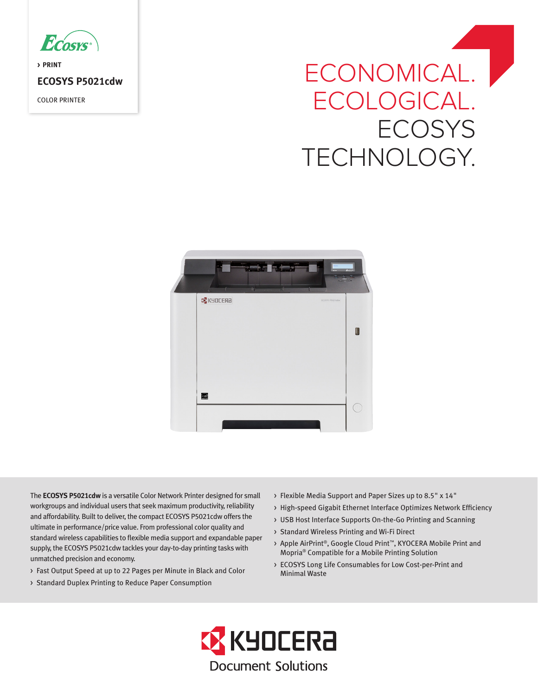

**> PRINT ECOSYS P5021cdw** COLOR PRINTER

# ECONOMICAL. | ECOLOGICAL. **ECOSYS** TECHNOLOGY.



The **ECOSYS P5021cdw** is a versatile Color Network Printer designed for small workgroups and individual users that seek maximum productivity, reliability and affordability. Built to deliver, the compact ECOSYS P5021cdw offers the ultimate in performance/price value. From professional color quality and standard wireless capabilities to flexible media support and expandable paper supply, the ECOSYS P5021cdw tackles your day-to-day printing tasks with unmatched precision and economy.

- > Fast Output Speed at up to 22 Pages per Minute in Black and Color
- > Standard Duplex Printing to Reduce Paper Consumption
- > Flexible Media Support and Paper Sizes up to 8.5" x 14"
- > High-speed Gigabit Ethernet Interface Optimizes Network Efficiency
- > USB Host Interface Supports On-the-Go Printing and Scanning
- > Standard Wireless Printing and Wi-Fi Direct
- > Apple AirPrint®, Google Cloud Print™, KYOCERA Mobile Print and Mopria® Compatible for a Mobile Printing Solution
- > ECOSYS Long Life Consumables for Low Cost-per-Print and Minimal Waste